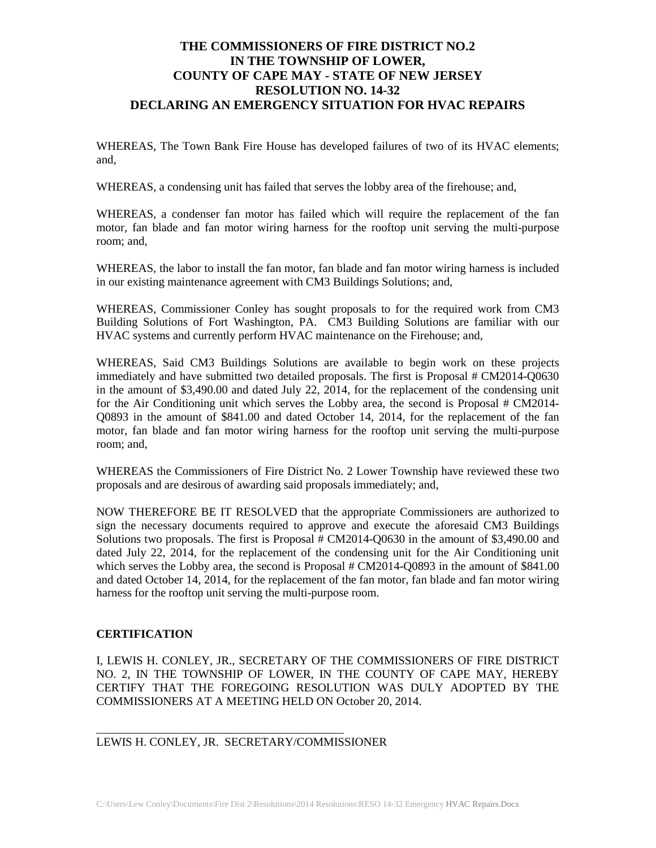## **THE COMMISSIONERS OF FIRE DISTRICT NO.2 IN THE TOWNSHIP OF LOWER, COUNTY OF CAPE MAY - STATE OF NEW JERSEY RESOLUTION NO. 14-32 DECLARING AN EMERGENCY SITUATION FOR HVAC REPAIRS**

WHEREAS, The Town Bank Fire House has developed failures of two of its HVAC elements; and,

WHEREAS, a condensing unit has failed that serves the lobby area of the firehouse; and,

WHEREAS, a condenser fan motor has failed which will require the replacement of the fan motor, fan blade and fan motor wiring harness for the rooftop unit serving the multi-purpose room; and,

WHEREAS, the labor to install the fan motor, fan blade and fan motor wiring harness is included in our existing maintenance agreement with CM3 Buildings Solutions; and,

WHEREAS, Commissioner Conley has sought proposals to for the required work from CM3 Building Solutions of Fort Washington, PA. CM3 Building Solutions are familiar with our HVAC systems and currently perform HVAC maintenance on the Firehouse; and,

WHEREAS, Said CM3 Buildings Solutions are available to begin work on these projects immediately and have submitted two detailed proposals. The first is Proposal # CM2014-Q0630 in the amount of \$3,490.00 and dated July 22, 2014, for the replacement of the condensing unit for the Air Conditioning unit which serves the Lobby area, the second is Proposal  $# CM2014$ -Q0893 in the amount of \$841.00 and dated October 14, 2014, for the replacement of the fan motor, fan blade and fan motor wiring harness for the rooftop unit serving the multi-purpose room; and,

WHEREAS the Commissioners of Fire District No. 2 Lower Township have reviewed these two proposals and are desirous of awarding said proposals immediately; and,

NOW THEREFORE BE IT RESOLVED that the appropriate Commissioners are authorized to sign the necessary documents required to approve and execute the aforesaid CM3 Buildings Solutions two proposals. The first is Proposal # CM2014-Q0630 in the amount of \$3,490.00 and dated July 22, 2014, for the replacement of the condensing unit for the Air Conditioning unit which serves the Lobby area, the second is Proposal # CM2014-Q0893 in the amount of \$841.00 and dated October 14, 2014, for the replacement of the fan motor, fan blade and fan motor wiring harness for the rooftop unit serving the multi-purpose room.

## **CERTIFICATION**

I, LEWIS H. CONLEY, JR., SECRETARY OF THE COMMISSIONERS OF FIRE DISTRICT NO. 2, IN THE TOWNSHIP OF LOWER, IN THE COUNTY OF CAPE MAY, HEREBY CERTIFY THAT THE FOREGOING RESOLUTION WAS DULY ADOPTED BY THE COMMISSIONERS AT A MEETING HELD ON October 20, 2014.

LEWIS H. CONLEY, JR. SECRETARY/COMMISSIONER

\_\_\_\_\_\_\_\_\_\_\_\_\_\_\_\_\_\_\_\_\_\_\_\_\_\_\_\_\_\_\_\_\_\_\_\_\_\_\_\_\_\_